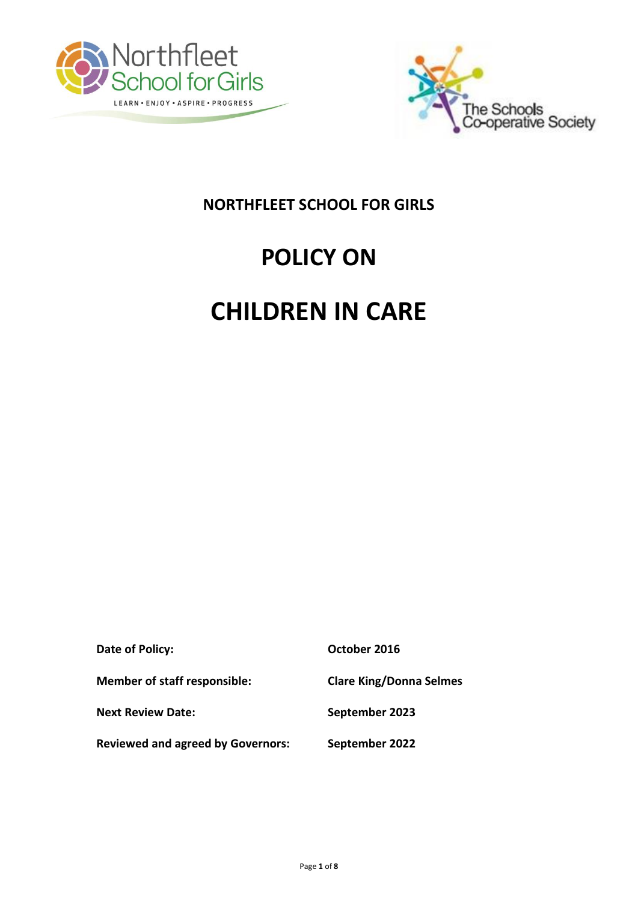



# **NORTHFLEET SCHOOL FOR GIRLS**

# **POLICY ON**

# **CHILDREN IN CARE**

| Date of Policy:                          | October 2016                   |
|------------------------------------------|--------------------------------|
| <b>Member of staff responsible:</b>      | <b>Clare King/Donna Selmes</b> |
| <b>Next Review Date:</b>                 | September 2023                 |
| <b>Reviewed and agreed by Governors:</b> | September 2022                 |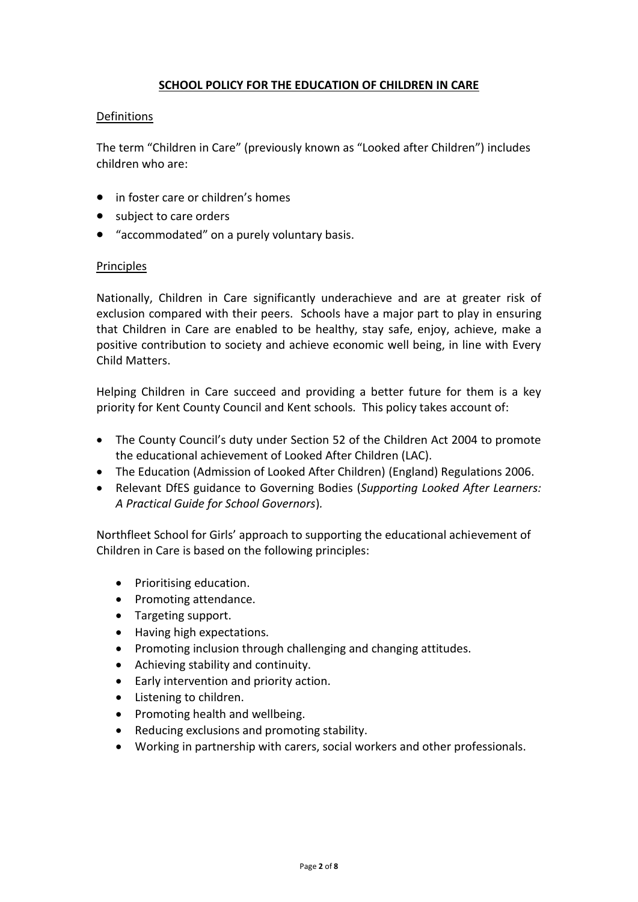# **SCHOOL POLICY FOR THE EDUCATION OF CHILDREN IN CARE**

#### **Definitions**

The term "Children in Care" (previously known as "Looked after Children") includes children who are:

- in foster care or children's homes
- subject to care orders
- "accommodated" on a purely voluntary basis.

# Principles

Nationally, Children in Care significantly underachieve and are at greater risk of exclusion compared with their peers. Schools have a major part to play in ensuring that Children in Care are enabled to be healthy, stay safe, enjoy, achieve, make a positive contribution to society and achieve economic well being, in line with Every Child Matters.

Helping Children in Care succeed and providing a better future for them is a key priority for Kent County Council and Kent schools. This policy takes account of:

- The County Council's duty under Section 52 of the Children Act 2004 to promote the educational achievement of Looked After Children (LAC).
- The Education (Admission of Looked After Children) (England) Regulations 2006.
- Relevant DfES guidance to Governing Bodies (*Supporting Looked After Learners: A Practical Guide for School Governors*)*.*

Northfleet School for Girls' approach to supporting the educational achievement of Children in Care is based on the following principles:

- Prioritising education.
- Promoting attendance.
- Targeting support.
- Having high expectations.
- Promoting inclusion through challenging and changing attitudes.
- Achieving stability and continuity.
- Early intervention and priority action.
- Listening to children.
- Promoting health and wellbeing.
- Reducing exclusions and promoting stability.
- Working in partnership with carers, social workers and other professionals.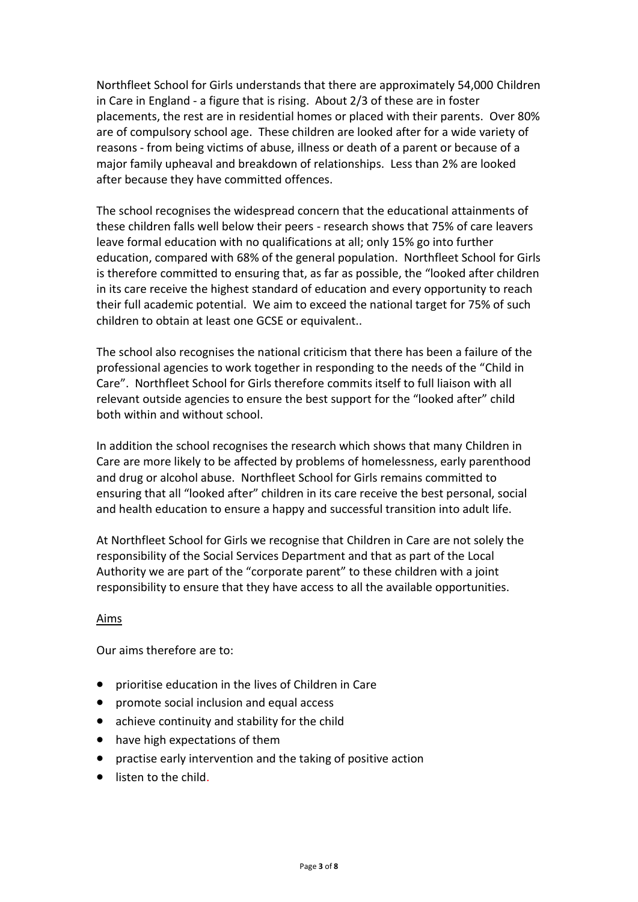Northfleet School for Girls understands that there are approximately 54,000 Children in Care in England - a figure that is rising. About 2/3 of these are in foster placements, the rest are in residential homes or placed with their parents. Over 80% are of compulsory school age. These children are looked after for a wide variety of reasons - from being victims of abuse, illness or death of a parent or because of a major family upheaval and breakdown of relationships. Less than 2% are looked after because they have committed offences.

The school recognises the widespread concern that the educational attainments of these children falls well below their peers - research shows that 75% of care leavers leave formal education with no qualifications at all; only 15% go into further education, compared with 68% of the general population. Northfleet School for Girls is therefore committed to ensuring that, as far as possible, the "looked after children in its care receive the highest standard of education and every opportunity to reach their full academic potential. We aim to exceed the national target for 75% of such children to obtain at least one GCSE or equivalent..

The school also recognises the national criticism that there has been a failure of the professional agencies to work together in responding to the needs of the "Child in Care". Northfleet School for Girls therefore commits itself to full liaison with all relevant outside agencies to ensure the best support for the "looked after" child both within and without school.

In addition the school recognises the research which shows that many Children in Care are more likely to be affected by problems of homelessness, early parenthood and drug or alcohol abuse. Northfleet School for Girls remains committed to ensuring that all "looked after" children in its care receive the best personal, social and health education to ensure a happy and successful transition into adult life.

At Northfleet School for Girls we recognise that Children in Care are not solely the responsibility of the Social Services Department and that as part of the Local Authority we are part of the "corporate parent" to these children with a joint responsibility to ensure that they have access to all the available opportunities.

# Aims

Our aims therefore are to:

- prioritise education in the lives of Children in Care
- **•** promote social inclusion and equal access
- achieve continuity and stability for the child
- have high expectations of them
- practise early intervention and the taking of positive action
- listen to the child.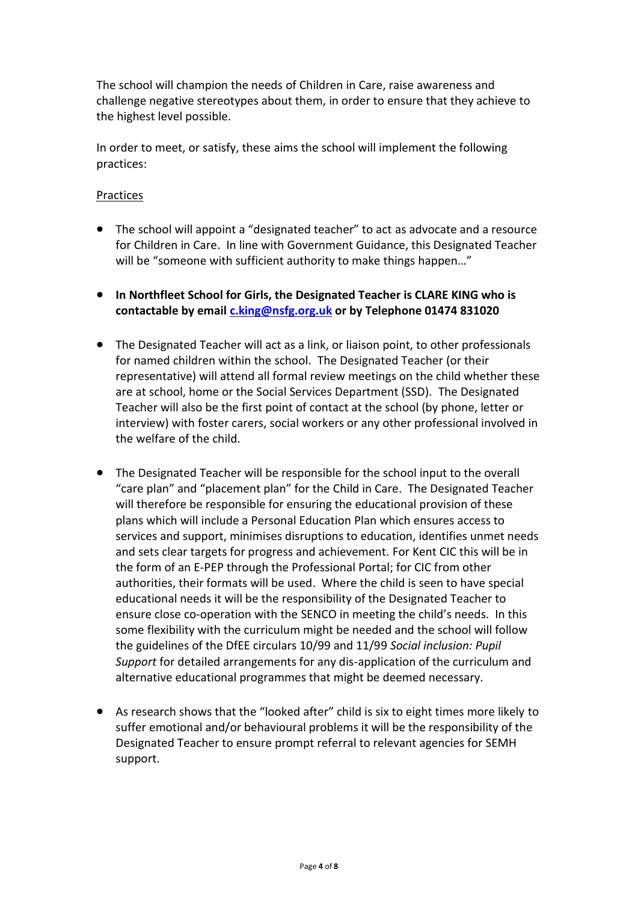The school will champion the needs of Children in Care, raise awareness and challenge negative stereotypes about them, in order to ensure that they achieve to the highest level possible.

In order to meet, or satisfy, these aims the school will implement the following practices:

#### Practices

- The school will appoint a "designated teacher" to act as advocate and a resource for Children in Care. In line with Government Guidance, this Designated Teacher will be "someone with sufficient authority to make things happen…"
- **In Northfleet School for Girls, the Designated Teacher is CLARE KING who is contactable by email [c.king@nsfg.org.uk](mailto:c.king@nsfg.org.uk) or by Telephone 01474 831020**
- The Designated Teacher will act as a link, or liaison point, to other professionals for named children within the school. The Designated Teacher (or their representative) will attend all formal review meetings on the child whether these are at school, home or the Social Services Department (SSD). The Designated Teacher will also be the first point of contact at the school (by phone, letter or interview) with foster carers, social workers or any other professional involved in the welfare of the child.
- The Designated Teacher will be responsible for the school input to the overall "care plan" and "placement plan" for the Child in Care. The Designated Teacher will therefore be responsible for ensuring the educational provision of these plans which will include a Personal Education Plan which ensures access to services and support, minimises disruptions to education, identifies unmet needs and sets clear targets for progress and achievement. For Kent CIC this will be in the form of an E-PEP through the Professional Portal; for CIC from other authorities, their formats will be used. Where the child is seen to have special educational needs it will be the responsibility of the Designated Teacher to ensure close co-operation with the SENCO in meeting the child's needs. In this some flexibility with the curriculum might be needed and the school will follow the guidelines of the DfEE circulars 10/99 and 11/99 *Social inclusion: Pupil Support* for detailed arrangements for any dis-application of the curriculum and alternative educational programmes that might be deemed necessary.
- As research shows that the "looked after" child is six to eight times more likely to suffer emotional and/or behavioural problems it will be the responsibility of the Designated Teacher to ensure prompt referral to relevant agencies for SEMH support.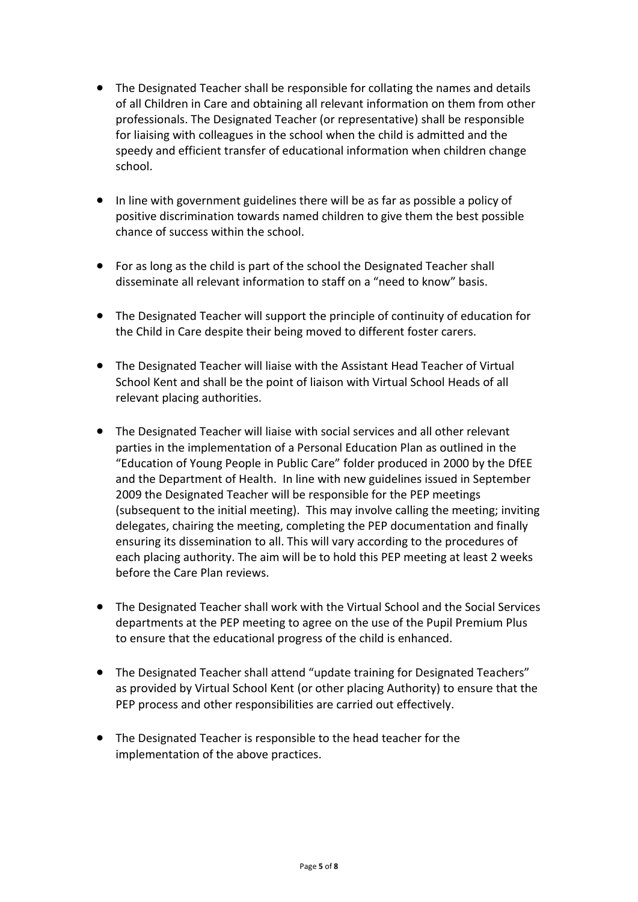- The Designated Teacher shall be responsible for collating the names and details of all Children in Care and obtaining all relevant information on them from other professionals. The Designated Teacher (or representative) shall be responsible for liaising with colleagues in the school when the child is admitted and the speedy and efficient transfer of educational information when children change school.
- In line with government guidelines there will be as far as possible a policy of positive discrimination towards named children to give them the best possible chance of success within the school.
- For as long as the child is part of the school the Designated Teacher shall disseminate all relevant information to staff on a "need to know" basis.
- The Designated Teacher will support the principle of continuity of education for the Child in Care despite their being moved to different foster carers.
- The Designated Teacher will liaise with the Assistant Head Teacher of Virtual School Kent and shall be the point of liaison with Virtual School Heads of all relevant placing authorities.
- The Designated Teacher will liaise with social services and all other relevant parties in the implementation of a Personal Education Plan as outlined in the "Education of Young People in Public Care" folder produced in 2000 by the DfEE and the Department of Health. In line with new guidelines issued in September 2009 the Designated Teacher will be responsible for the PEP meetings (subsequent to the initial meeting). This may involve calling the meeting; inviting delegates, chairing the meeting, completing the PEP documentation and finally ensuring its dissemination to all. This will vary according to the procedures of each placing authority. The aim will be to hold this PEP meeting at least 2 weeks before the Care Plan reviews.
- The Designated Teacher shall work with the Virtual School and the Social Services departments at the PEP meeting to agree on the use of the Pupil Premium Plus to ensure that the educational progress of the child is enhanced.
- The Designated Teacher shall attend "update training for Designated Teachers" as provided by Virtual School Kent (or other placing Authority) to ensure that the PEP process and other responsibilities are carried out effectively.
- The Designated Teacher is responsible to the head teacher for the implementation of the above practices.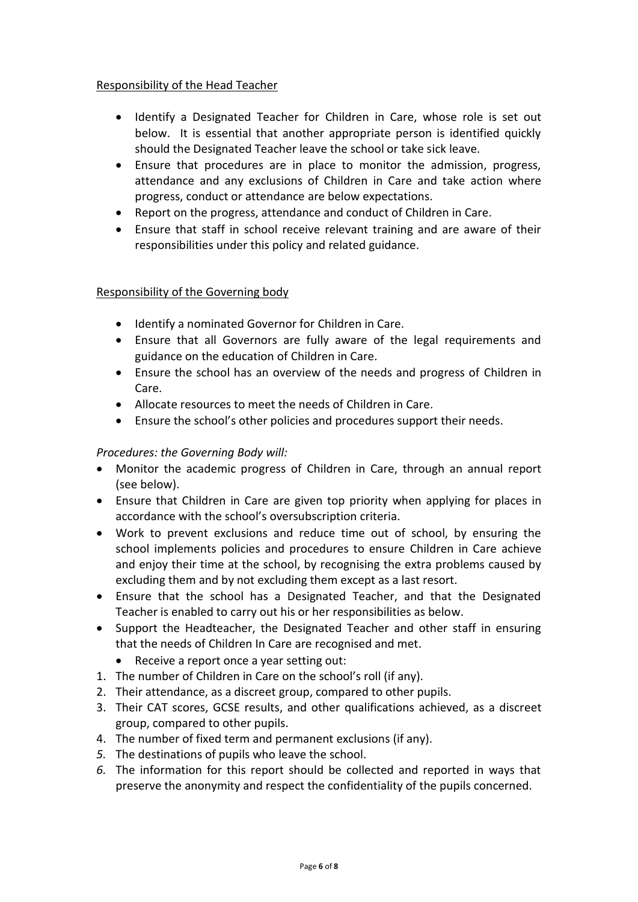## Responsibility of the Head Teacher

- Identify a Designated Teacher for Children in Care, whose role is set out below. It is essential that another appropriate person is identified quickly should the Designated Teacher leave the school or take sick leave.
- Ensure that procedures are in place to monitor the admission, progress, attendance and any exclusions of Children in Care and take action where progress, conduct or attendance are below expectations.
- Report on the progress, attendance and conduct of Children in Care.
- Ensure that staff in school receive relevant training and are aware of their responsibilities under this policy and related guidance.

# Responsibility of the Governing body

- Identify a nominated Governor for Children in Care.
- Ensure that all Governors are fully aware of the legal requirements and guidance on the education of Children in Care.
- Ensure the school has an overview of the needs and progress of Children in Care.
- Allocate resources to meet the needs of Children in Care.
- Ensure the school's other policies and procedures support their needs.

# *Procedures: the Governing Body will:*

- Monitor the academic progress of Children in Care, through an annual report (see below).
- Ensure that Children in Care are given top priority when applying for places in accordance with the school's oversubscription criteria.
- Work to prevent exclusions and reduce time out of school, by ensuring the school implements policies and procedures to ensure Children in Care achieve and enjoy their time at the school, by recognising the extra problems caused by excluding them and by not excluding them except as a last resort.
- Ensure that the school has a Designated Teacher, and that the Designated Teacher is enabled to carry out his or her responsibilities as below.
- Support the Headteacher, the Designated Teacher and other staff in ensuring that the needs of Children In Care are recognised and met.
	- Receive a report once a year setting out:
- 1. The number of Children in Care on the school's roll (if any).
- 2. Their attendance, as a discreet group, compared to other pupils.
- 3. Their CAT scores, GCSE results, and other qualifications achieved, as a discreet group, compared to other pupils.
- 4. The number of fixed term and permanent exclusions (if any).
- *5.* The destinations of pupils who leave the school.
- *6.* The information for this report should be collected and reported in ways that preserve the anonymity and respect the confidentiality of the pupils concerned.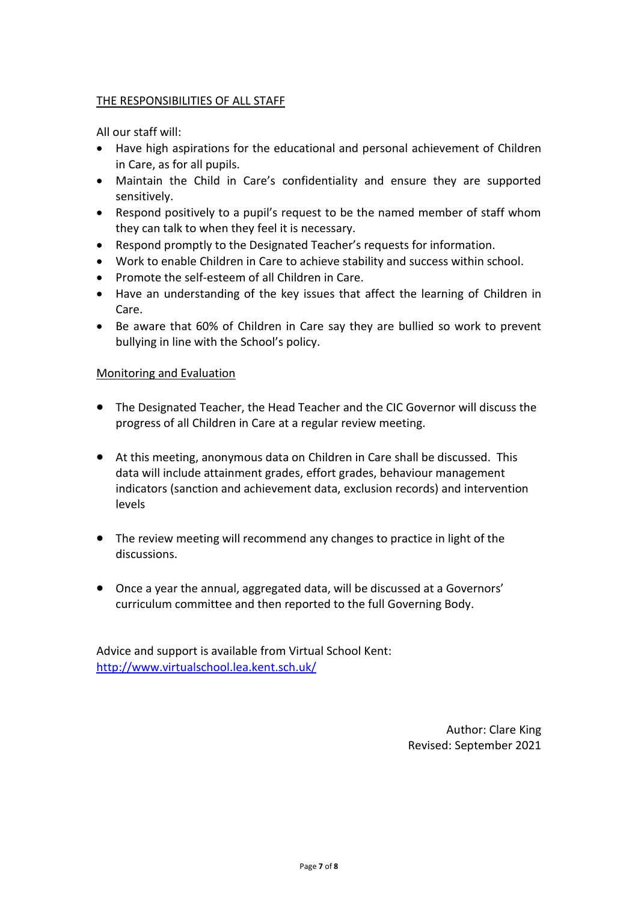#### THE RESPONSIBILITIES OF ALL STAFF

All our staff will:

- Have high aspirations for the educational and personal achievement of Children in Care, as for all pupils.
- Maintain the Child in Care's confidentiality and ensure they are supported sensitively.
- Respond positively to a pupil's request to be the named member of staff whom they can talk to when they feel it is necessary.
- Respond promptly to the Designated Teacher's requests for information.
- Work to enable Children in Care to achieve stability and success within school.
- Promote the self-esteem of all Children in Care.
- Have an understanding of the key issues that affect the learning of Children in Care.
- Be aware that 60% of Children in Care say they are bullied so work to prevent bullying in line with the School's policy.

#### Monitoring and Evaluation

- The Designated Teacher, the Head Teacher and the CIC Governor will discuss the progress of all Children in Care at a regular review meeting.
- At this meeting, anonymous data on Children in Care shall be discussed. This data will include attainment grades, effort grades, behaviour management indicators (sanction and achievement data, exclusion records) and intervention levels
- The review meeting will recommend any changes to practice in light of the discussions.
- Once a year the annual, aggregated data, will be discussed at a Governors' curriculum committee and then reported to the full Governing Body.

Advice and support is available from Virtual School Kent: <http://www.virtualschool.lea.kent.sch.uk/>

> Author: Clare King Revised: September 2021